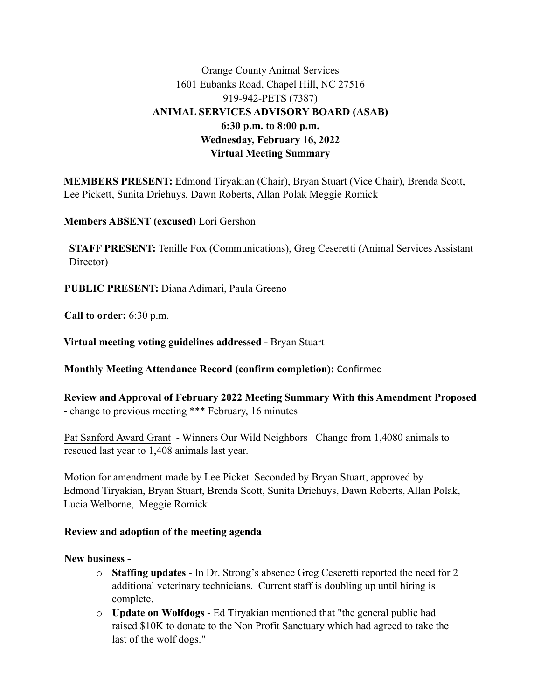# Orange County Animal Services 1601 Eubanks Road, Chapel Hill, NC 27516 919-942-PETS (7387) **ANIMAL SERVICES ADVISORY BOARD (ASAB) 6:30 p.m. to 8:00 p.m. Wednesday, February 16, 2022 Virtual Meeting Summary**

**MEMBERS PRESENT:** Edmond Tiryakian (Chair), Bryan Stuart (Vice Chair), Brenda Scott, Lee Pickett, Sunita Driehuys, Dawn Roberts, Allan Polak Meggie Romick

**Members ABSENT (excused)** Lori Gershon

**STAFF PRESENT:** Tenille Fox (Communications), Greg Ceseretti (Animal Services Assistant Director)

**PUBLIC PRESENT:** Diana Adimari, Paula Greeno

Call to order: 6:30 p.m.

Virtual meeting voting guidelines addressed - Bryan Stuart

Monthly Meeting Attendance Record (confirm completion): Confirmed

Review and Approval of February 2022 Meeting Summary With this Amendment Proposed - change to previous meeting \*\*\* February, 16 minutes

Pat Sanford Award Grant - Winners Our Wild Neighbors Change from 1,4080 animals to rescued last year to 1,408 animals last year.

Motion for amendment made by Lee Picket Seconded by Bryan Stuart, approved by Edmond Tiryakian, Bryan Stuart, Brenda Scott, Sunita Driehuys, Dawn Roberts, Allan Polak, Lucia Welborne, Meggie Romick

#### Review and adoption of the meeting agenda

New business -

- o **Staffing updates** In Dr. Strong's absence Greg Ceseretti reported the need for 2 additional veterinary technicians. Current staff is doubling up until hiring is complete.
- o **Update on Wolfdogs**  Ed Tiryakian mentioned that "the general public had raised \$10K to donate to the Non Profit Sanctuary which had agreed to take the last of the wolf dogs."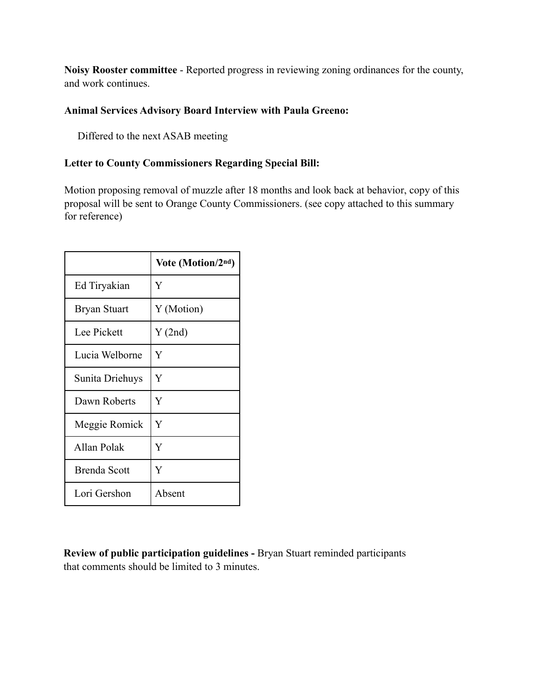Noisy Rooster committee - Reported progress in reviewing zoning ordinances for the county, and work continues.

## **Animal Services Advisory Board Interview with Paula Greeno:**

Differed to the next ASAB meeting

### **Letter to County Commissioners Regarding Special Bill:**

Motion proposing removal of muzzle after 18 months and look back at behavior, copy of this proposal will be sent to Orange County Commissioners. (see copy attached to this summary for reference)

|                     | Vote (Motion/2nd) |
|---------------------|-------------------|
| Ed Tiryakian        | Ÿ                 |
| <b>Bryan Stuart</b> | Y (Motion)        |
| Lee Pickett         | Y(2nd)            |
| Lucia Welborne      | Y                 |
| Sunita Driehuys     | Y                 |
| Dawn Roberts        | Y                 |
| Meggie Romick       | Y                 |
| Allan Polak         | Y                 |
| <b>Brenda Scott</b> | Ÿ                 |
| Lori Gershon        | Absent            |

**Review of public participation guidelines - Bryan Stuart reminded participants** that comments should be limited to 3 minutes.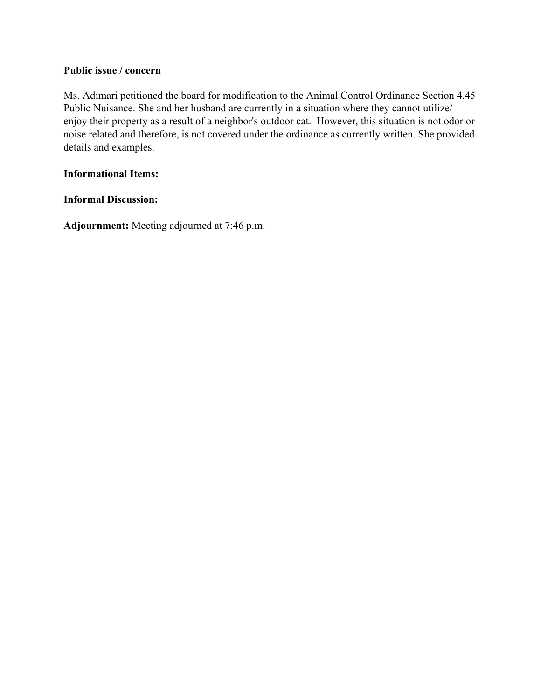#### **Public issue / concern**

Ms. Adimari petitioned the board for modification to the Animal Control Ordinance Section 4.45 Public Nuisance. She and her husband are currently in a situation where they cannot utilize/ enjoy their property as a result of a neighbor's outdoor cat. However, this situation is not odor or noise related and therefore, is not covered under the ordinance as currently written. She provided details and examples.

#### **Informational Items:**

#### **Informal Discussion:**

**Adjournment:** Meeting adjourned at 7:46 p.m.